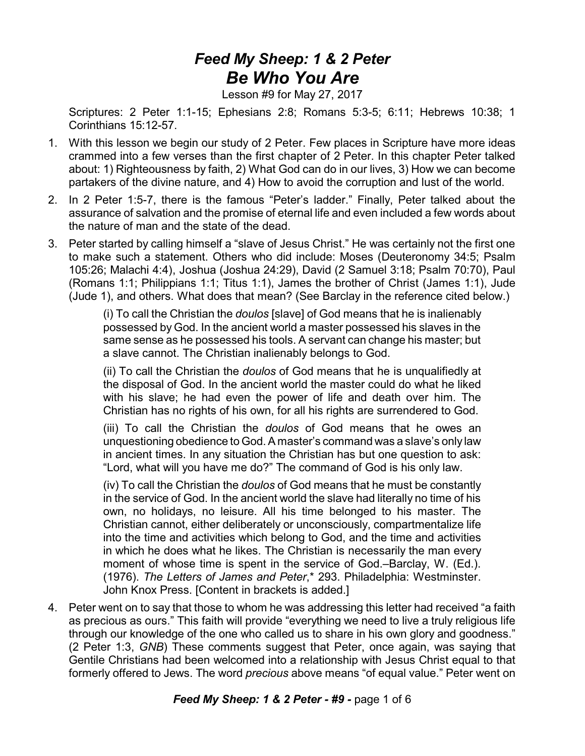## *Feed My Sheep: 1 & 2 Peter Be Who You Are*

Lesson #9 for May 27, 2017

Scriptures: 2 Peter 1:1-15; Ephesians 2:8; Romans 5:3-5; 6:11; Hebrews 10:38; 1 Corinthians 15:12-57.

- 1. With this lesson we begin our study of 2 Peter. Few places in Scripture have more ideas crammed into a few verses than the first chapter of 2 Peter. In this chapter Peter talked about: 1) Righteousness by faith, 2) What God can do in our lives, 3) How we can become partakers of the divine nature, and 4) How to avoid the corruption and lust of the world.
- 2. In 2 Peter 1:5-7, there is the famous "Peter's ladder." Finally, Peter talked about the assurance of salvation and the promise of eternal life and even included a few words about the nature of man and the state of the dead.
- 3. Peter started by calling himself a "slave of Jesus Christ." He was certainly not the first one to make such a statement. Others who did include: Moses (Deuteronomy 34:5; Psalm 105:26; Malachi 4:4), Joshua (Joshua 24:29), David (2 Samuel 3:18; Psalm 70:70), Paul (Romans 1:1; Philippians 1:1; Titus 1:1), James the brother of Christ (James 1:1), Jude (Jude 1), and others. What does that mean? (See Barclay in the reference cited below.)

(i) To call the Christian the *doulos* [slave] of God means that he is inalienably possessed by God. In the ancient world a master possessed his slaves in the same sense as he possessed his tools. A servant can change his master; but a slave cannot. The Christian inalienably belongs to God.

(ii) To call the Christian the *doulos* of God means that he is unqualifiedly at the disposal of God. In the ancient world the master could do what he liked with his slave; he had even the power of life and death over him. The Christian has no rights of his own, for all his rights are surrendered to God.

(iii) To call the Christian the *doulos* of God means that he owes an unquestioning obedience to God. A master's command was a slave's only law in ancient times. In any situation the Christian has but one question to ask: "Lord, what will you have me do?" The command of God is his only law.

(iv) To call the Christian the *doulos* of God means that he must be constantly in the service of God. In the ancient world the slave had literally no time of his own, no holidays, no leisure. All his time belonged to his master. The Christian cannot, either deliberately or unconsciously, compartmentalize life into the time and activities which belong to God, and the time and activities in which he does what he likes. The Christian is necessarily the man every moment of whose time is spent in the service of God.–Barclay, W. (Ed.). (1976). *The Letters of James and Peter*,\* 293. Philadelphia: Westminster. John Knox Press. [Content in brackets is added.]

4. Peter went on to say that those to whom he was addressing this letter had received "a faith as precious as ours." This faith will provide "everything we need to live a truly religious life through our knowledge of the one who called us to share in his own glory and goodness." (2 Peter 1:3, *GNB*) These comments suggest that Peter, once again, was saying that Gentile Christians had been welcomed into a relationship with Jesus Christ equal to that formerly offered to Jews. The word *precious* above means "of equal value." Peter went on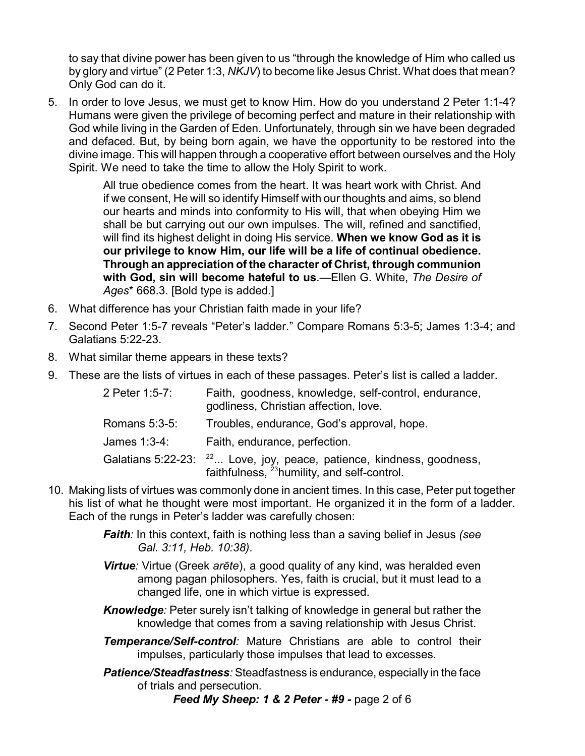to say that divine power has been given to us "through the knowledge of Him who called us by glory and virtue" (2 Peter 1:3, *NKJV*) to become like Jesus Christ. What does that mean? Only God can do it.

5. In order to love Jesus, we must get to know Him. How do you understand 2 Peter 1:1-4? Humans were given the privilege of becoming perfect and mature in their relationship with God while living in the Garden of Eden. Unfortunately, through sin we have been degraded and defaced. But, by being born again, we have the opportunity to be restored into the divine image. This will happen through a cooperative effort between ourselves and the Holy Spirit. We need to take the time to allow the Holy Spirit to work.

> All true obedience comes from the heart. It was heart work with Christ. And if we consent, He will so identify Himself with our thoughts and aims, so blend our hearts and minds into conformity to His will, that when obeying Him we shall be but carrying out our own impulses. The will, refined and sanctified, will find its highest delight in doing His service. **When we know God as it is our privilege to know Him, our life will be a life of continual obedience. Through an appreciation of the character of Christ, through communion with God, sin will become hateful to us**.—Ellen G. White, *The Desire of Ages*\* 668.3. [Bold type is added.]

- 6. What difference has your Christian faith made in your life?
- 7. Second Peter 1:5-7 reveals "Peter's ladder." Compare Romans 5:3-5; James 1:3-4; and Galatians 5:22-23.
- 8. What similar theme appears in these texts?
- 9. These are the lists of virtues in each of these passages. Peter's list is called a ladder.

| 2 Peter 1:5-7: | Faith, goodness, knowledge, self-control, endurance,<br>godliness, Christian affection, love.                                               |
|----------------|---------------------------------------------------------------------------------------------------------------------------------------------|
| Romans 5:3-5:  | Troubles, endurance, God's approval, hope.                                                                                                  |
| James 1:3-4:   | Faith, endurance, perfection.                                                                                                               |
|                | Galatians 5:22-23: <sup>22</sup> Love, joy, peace, patience, kindness, goodness,<br>faithfulness, <sup>23</sup> humility, and self-control. |

- 10. Making lists of virtues was commonly done in ancient times. In this case, Peter put together his list of what he thought were most important. He organized it in the form of a ladder. Each of the rungs in Peter's ladder was carefully chosen:
	- *Faith:* In this context, faith is nothing less than a saving belief in Jesus *(see Gal. 3:11, Heb. 10:38)*.
	- **Virtue**: Virtue (Greek *arēte*), a good quality of any kind, was heralded even among pagan philosophers. Yes, faith is crucial, but it must lead to a changed life, one in which virtue is expressed.

*Knowledge:* Peter surely isn't talking of knowledge in general but rather the knowledge that comes from a saving relationship with Jesus Christ.

*Temperance/Self-control:* Mature Christians are able to control their impulses, particularly those impulses that lead to excesses.

*Patience/Steadfastness:* Steadfastness is endurance, especially in the face of trials and persecution.

*Feed My Sheep: 1 & 2 Peter - #9 -* page 2 of 6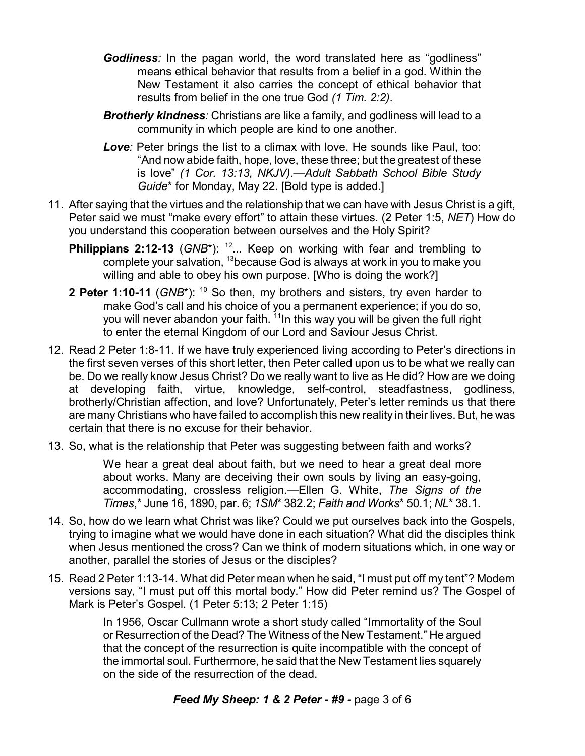- **Godliness**: In the pagan world, the word translated here as "godliness" means ethical behavior that results from a belief in a god. Within the New Testament it also carries the concept of ethical behavior that results from belief in the one true God *(1 Tim. 2:2)*.
- *Brotherly kindness:* Christians are like a family, and godliness will lead to a community in which people are kind to one another.
- *Love:* Peter brings the list to a climax with love. He sounds like Paul, too: "And now abide faith, hope, love, these three; but the greatest of these is love" *(1 Cor. 13:13, NKJV)*.—*Adult Sabbath School Bible Study Guide*\* for Monday, May 22. [Bold type is added.]
- 11. After saying that the virtues and the relationship that we can have with Jesus Christ is a gift, Peter said we must "make every effort" to attain these virtues. (2 Peter 1:5, *NET*) How do you understand this cooperation between ourselves and the Holy Spirit?
	- **Philippians 2:12-13** (GNB<sup>\*</sup>): <sup>12</sup>... Keep on working with fear and trembling to complete your salvation, <sup>13</sup>because God is always at work in you to make you willing and able to obey his own purpose. [Who is doing the work?]
	- **2 Peter 1:10-11** (*GNB*\*): <sup>10</sup> So then, my brothers and sisters, try even harder to make God's call and his choice of you a permanent experience; if you do so, you will never abandon your faith. <sup>11</sup>In this way you will be given the full right to enter the eternal Kingdom of our Lord and Saviour Jesus Christ.
- 12. Read 2 Peter 1:8-11. If we have truly experienced living according to Peter's directions in the first seven verses of this short letter, then Peter called upon us to be what we really can be. Do we really know Jesus Christ? Do we really want to live as He did? How are we doing at developing faith, virtue, knowledge, self-control, steadfastness, godliness, brotherly/Christian affection, and love? Unfortunately, Peter's letter reminds us that there are many Christians who have failed to accomplish this new reality in their lives. But, he was certain that there is no excuse for their behavior.
- 13. So, what is the relationship that Peter was suggesting between faith and works?

We hear a great deal about faith, but we need to hear a great deal more about works. Many are deceiving their own souls by living an easy-going, accommodating, crossless religion.—Ellen G. White, *The Signs of the Times*,\* June 16, 1890, par. 6; *1SM*\* 382.2; *Faith and Works*\* 50.1; *NL*\* 38.1.

- 14. So, how do we learn what Christ was like? Could we put ourselves back into the Gospels, trying to imagine what we would have done in each situation? What did the disciples think when Jesus mentioned the cross? Can we think of modern situations which, in one way or another, parallel the stories of Jesus or the disciples?
- 15. Read 2 Peter 1:13-14. What did Peter mean when he said, "I must put off my tent"? Modern versions say, "I must put off this mortal body." How did Peter remind us? The Gospel of Mark is Peter's Gospel. (1 Peter 5:13; 2 Peter 1:15)

In 1956, Oscar Cullmann wrote a short study called "Immortality of the Soul or Resurrection of the Dead? The Witness of the New Testament." He argued that the concept of the resurrection is quite incompatible with the concept of the immortal soul. Furthermore, he said that the New Testament lies squarely on the side of the resurrection of the dead.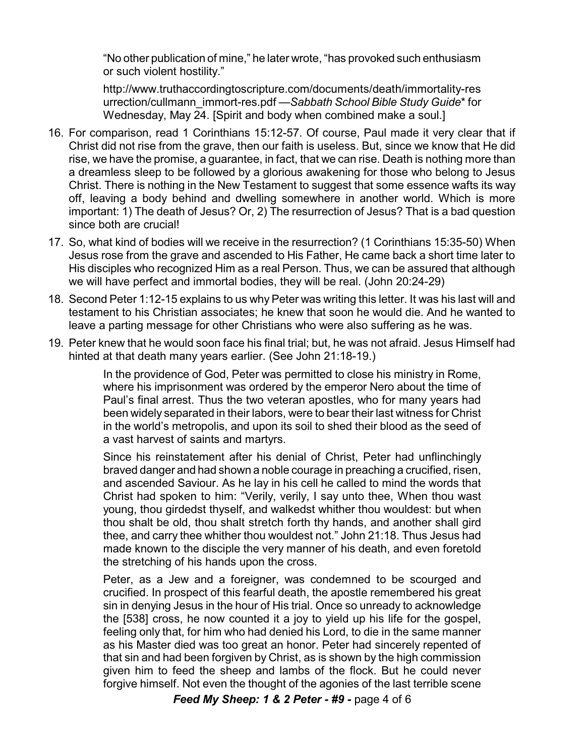"No other publication of mine," he later wrote, "has provoked such enthusiasm or such violent hostility."

http://www.truthaccordingtoscripture.com/documents/death/immortality-res urrection/cullmann\_immort-res.pdf —*Sabbath School Bible Study Guide*\* for Wednesday, May 24. [Spirit and body when combined make a soul.]

- 16. For comparison, read 1 Corinthians 15:12-57. Of course, Paul made it very clear that if Christ did not rise from the grave, then our faith is useless. But, since we know that He did rise, we have the promise, a guarantee, in fact, that we can rise. Death is nothing more than a dreamless sleep to be followed by a glorious awakening for those who belong to Jesus Christ. There is nothing in the New Testament to suggest that some essence wafts its way off, leaving a body behind and dwelling somewhere in another world. Which is more important: 1) The death of Jesus? Or, 2) The resurrection of Jesus? That is a bad question since both are crucial!
- 17. So, what kind of bodies will we receive in the resurrection? (1 Corinthians 15:35-50) When Jesus rose from the grave and ascended to His Father, He came back a short time later to His disciples who recognized Him as a real Person. Thus, we can be assured that although we will have perfect and immortal bodies, they will be real. (John 20:24-29)
- 18. Second Peter 1:12-15 explains to us why Peter was writing this letter. It was his last will and testament to his Christian associates; he knew that soon he would die. And he wanted to leave a parting message for other Christians who were also suffering as he was.
- 19. Peter knew that he would soon face his final trial; but, he was not afraid. Jesus Himself had hinted at that death many years earlier. (See John 21:18-19.)

In the providence of God, Peter was permitted to close his ministry in Rome, where his imprisonment was ordered by the emperor Nero about the time of Paul's final arrest. Thus the two veteran apostles, who for many years had been widely separated in their labors, were to bear their last witness for Christ in the world's metropolis, and upon its soil to shed their blood as the seed of a vast harvest of saints and martyrs.

Since his reinstatement after his denial of Christ, Peter had unflinchingly braved danger and had shown a noble courage in preaching a crucified, risen, and ascended Saviour. As he lay in his cell he called to mind the words that Christ had spoken to him: "Verily, verily, I say unto thee, When thou wast young, thou girdedst thyself, and walkedst whither thou wouldest: but when thou shalt be old, thou shalt stretch forth thy hands, and another shall gird thee, and carry thee whither thou wouldest not." John 21:18. Thus Jesus had made known to the disciple the very manner of his death, and even foretold the stretching of his hands upon the cross.

Peter, as a Jew and a foreigner, was condemned to be scourged and crucified. In prospect of this fearful death, the apostle remembered his great sin in denying Jesus in the hour of His trial. Once so unready to acknowledge the [538] cross, he now counted it a joy to yield up his life for the gospel, feeling only that, for him who had denied his Lord, to die in the same manner as his Master died was too great an honor. Peter had sincerely repented of that sin and had been forgiven by Christ, as is shown by the high commission given him to feed the sheep and lambs of the flock. But he could never forgive himself. Not even the thought of the agonies of the last terrible scene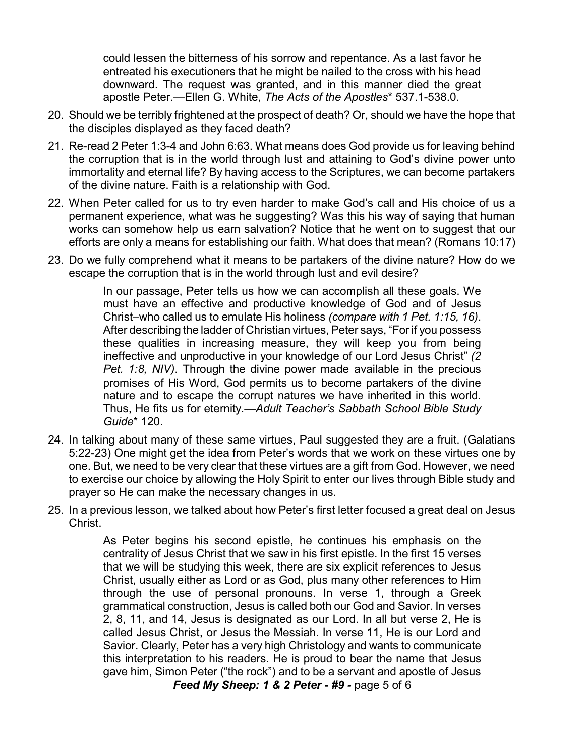could lessen the bitterness of his sorrow and repentance. As a last favor he entreated his executioners that he might be nailed to the cross with his head downward. The request was granted, and in this manner died the great apostle Peter.—Ellen G. White, *The Acts of the Apostles*\* 537.1-538.0.

- 20. Should we be terribly frightened at the prospect of death? Or, should we have the hope that the disciples displayed as they faced death?
- 21. Re-read 2 Peter 1:3-4 and John 6:63. What means does God provide us for leaving behind the corruption that is in the world through lust and attaining to God's divine power unto immortality and eternal life? By having access to the Scriptures, we can become partakers of the divine nature. Faith is a relationship with God.
- 22. When Peter called for us to try even harder to make God's call and His choice of us a permanent experience, what was he suggesting? Was this his way of saying that human works can somehow help us earn salvation? Notice that he went on to suggest that our efforts are only a means for establishing our faith. What does that mean? (Romans 10:17)
- 23. Do we fully comprehend what it means to be partakers of the divine nature? How do we escape the corruption that is in the world through lust and evil desire?

In our passage, Peter tells us how we can accomplish all these goals. We must have an effective and productive knowledge of God and of Jesus Christ–who called us to emulate His holiness *(compare with 1 Pet. 1:15, 16)*. After describing the ladder of Christian virtues, Peter says, "For if you possess these qualities in increasing measure, they will keep you from being ineffective and unproductive in your knowledge of our Lord Jesus Christ" *(2 Pet. 1:8, NIV)*. Through the divine power made available in the precious promises of His Word, God permits us to become partakers of the divine nature and to escape the corrupt natures we have inherited in this world. Thus, He fits us for eternity.—*Adult Teacher's Sabbath School Bible Study Guide*\* 120.

- 24. In talking about many of these same virtues, Paul suggested they are a fruit. (Galatians 5:22-23) One might get the idea from Peter's words that we work on these virtues one by one. But, we need to be very clear that these virtues are a gift from God. However, we need to exercise our choice by allowing the Holy Spirit to enter our lives through Bible study and prayer so He can make the necessary changes in us.
- 25. In a previous lesson, we talked about how Peter's first letter focused a great deal on Jesus Christ.

As Peter begins his second epistle, he continues his emphasis on the centrality of Jesus Christ that we saw in his first epistle. In the first 15 verses that we will be studying this week, there are six explicit references to Jesus Christ, usually either as Lord or as God, plus many other references to Him through the use of personal pronouns. In verse 1, through a Greek grammatical construction, Jesus is called both our God and Savior. In verses 2, 8, 11, and 14, Jesus is designated as our Lord. In all but verse 2, He is called Jesus Christ, or Jesus the Messiah. In verse 11, He is our Lord and Savior. Clearly, Peter has a very high Christology and wants to communicate this interpretation to his readers. He is proud to bear the name that Jesus gave him, Simon Peter ("the rock") and to be a servant and apostle of Jesus

*Feed My Sheep: 1 & 2 Peter - #9 -* page 5 of 6